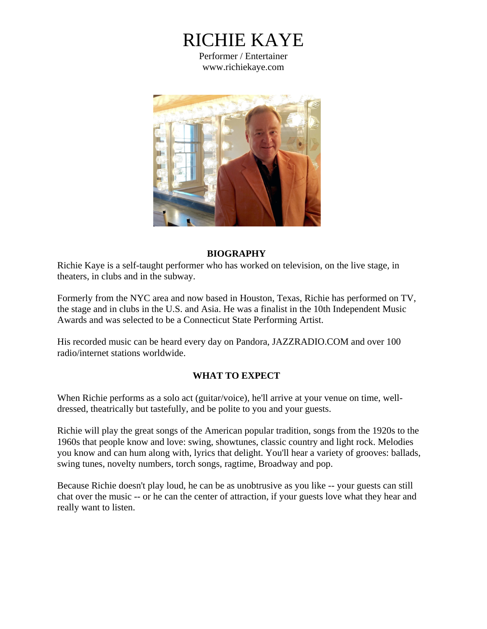# RICHIE KAYE

Performer / Entertainer www.richiekaye.com



#### **BIOGRAPHY**

Richie Kaye is a self-taught performer who has worked on television, on the live stage, in theaters, in clubs and in the subway.

Formerly from the NYC area and now based in Houston, Texas, Richie has performed on TV, the stage and in clubs in the U.S. and Asia. He was a finalist in the 10th Independent Music Awards and was selected to be a Connecticut State Performing Artist.

His recorded music can be heard every day on Pandora, JAZZRADIO.COM and over 100 radio/internet stations worldwide.

## **WHAT TO EXPECT**

When Richie performs as a solo act (guitar/voice), he'll arrive at your venue on time, welldressed, theatrically but tastefully, and be polite to you and your guests.

Richie will play the great songs of the American popular tradition, songs from the 1920s to the 1960s that people know and love: swing, showtunes, classic country and light rock. Melodies you know and can hum along with, lyrics that delight. You'll hear a variety of grooves: ballads, swing tunes, novelty numbers, torch songs, ragtime, Broadway and pop.

Because Richie doesn't play loud, he can be as unobtrusive as you like -- your guests can still chat over the music -- or he can the center of attraction, if your guests love what they hear and really want to listen.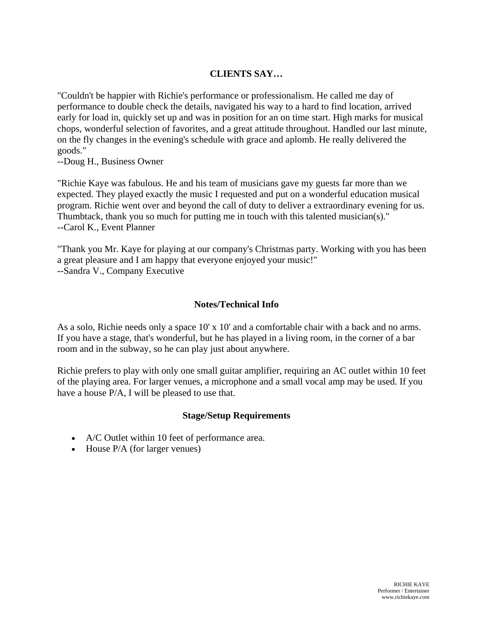# **CLIENTS SAY…**

"Couldn't be happier with Richie's performance or professionalism. He called me day of performance to double check the details, navigated his way to a hard to find location, arrived early for load in, quickly set up and was in position for an on time start. High marks for musical chops, wonderful selection of favorites, and a great attitude throughout. Handled our last minute, on the fly changes in the evening's schedule with grace and aplomb. He really delivered the goods."

--Doug H., Business Owner

"Richie Kaye was fabulous. He and his team of musicians gave my guests far more than we expected. They played exactly the music I requested and put on a wonderful education musical program. Richie went over and beyond the call of duty to deliver a extraordinary evening for us. Thumbtack, thank you so much for putting me in touch with this talented musician(s)." --Carol K., Event Planner

"Thank you Mr. Kaye for playing at our company's Christmas party. Working with you has been a great pleasure and I am happy that everyone enjoyed your music!"

--Sandra V., Company Executive

#### **Notes/Technical Info**

As a solo, Richie needs only a space 10' x 10' and a comfortable chair with a back and no arms. If you have a stage, that's wonderful, but he has played in a living room, in the corner of a bar room and in the subway, so he can play just about anywhere.

Richie prefers to play with only one small guitar amplifier, requiring an AC outlet within 10 feet of the playing area. For larger venues, a microphone and a small vocal amp may be used. If you have a house P/A, I will be pleased to use that.

## **Stage/Setup Requirements**

- A/C Outlet within 10 feet of performance area.
- House P/A (for larger venues)